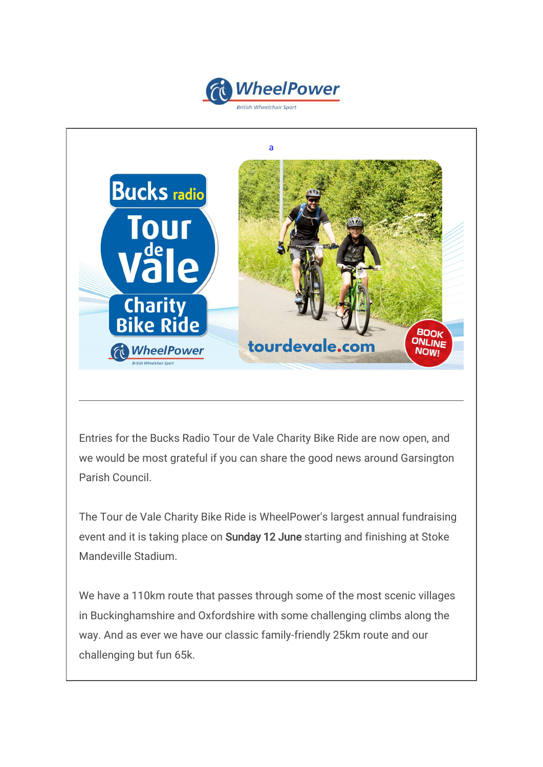



Entries for the Bucks Radio Tour de Vale Charity Bike Ride are now open, and we would be most grateful if you can share the good news around Garsington Parish Council.

The Tour de Vale Charity Bike Ride is WheelPower's largest annual fundraising event and it is taking place on Sunday 12 June starting and finishing at Stoke Mandeville Stadium.

We have a 110km route that passes through some of the most scenic villages in Buckinghamshire and Oxfordshire with some challenging climbs along the way. And as ever we have our classic family-friendly 25km route and our challenging but fun 65k.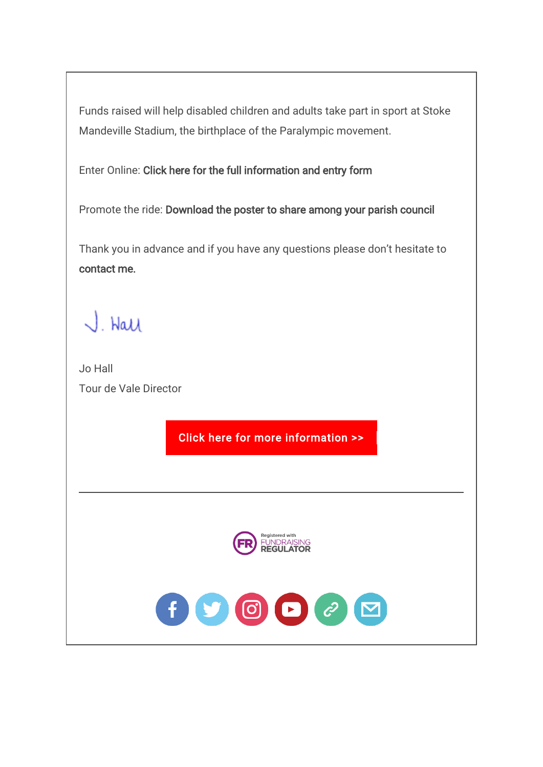Funds raised will help disabled children and adults take part in sport at Stoke Mandeville Stadium, the birthplace of the Paralympic movement.

Enter Online: [Click here](https://wheelpower.us9.list-manage.com/track/click?u=66a2601271dc26069fc468f73&id=7cdfa77341&e=efb47e5cc4) [for the full information and entry form](https://wheelpower.us9.list-manage.com/track/click?u=66a2601271dc26069fc468f73&id=50309f8269&e=efb47e5cc4)

Promote the ride: [Download the poster to share among your parish council](https://wheelpower.us9.list-manage.com/track/click?u=66a2601271dc26069fc468f73&id=c47cab2cb1&e=efb47e5cc4)

Thank you in advance and if you have any questions please don't hesitate to [contact me.](mailto:jo.hall@wheelpower.org.uk)

J. Hall

Jo Hall Tour de Vale Director

[Click here for more information >>](wlmailhtml:%7b0A71E012-0B39-4D1D-B8E7-7E2CBAFADC43%7dmid:/00000723/www.tourdevale.com)